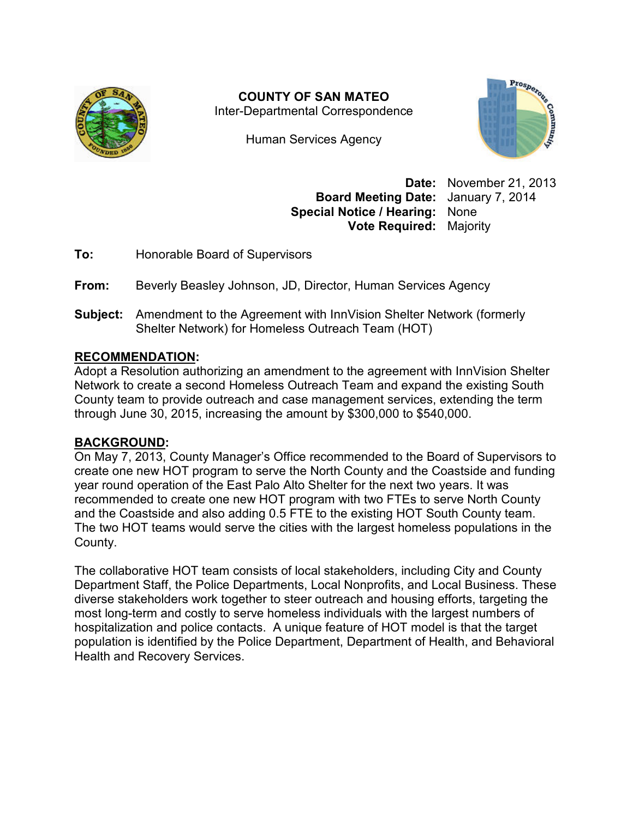

**COUNTY OF SAN MATEO**  Inter-Departmental Correspondence

Human Services Agency



**Date:** November 21, 2013 **Board Meeting Date:** January 7, 2014 **Special Notice / Hearing:** None **Vote Required:** Majority

**To:** Honorable Board of Supervisors

**From:** Beverly Beasley Johnson, JD, Director, Human Services Agency

**Subject:** Amendment to the Agreement with InnVision Shelter Network (formerly Shelter Network) for Homeless Outreach Team (HOT)

## **RECOMMENDATION:**

Adopt a Resolution authorizing an amendment to the agreement with InnVision Shelter Network to create a second Homeless Outreach Team and expand the existing South County team to provide outreach and case management services, extending the term through June 30, 2015, increasing the amount by \$300,000 to \$540,000.

### **BACKGROUND:**

On May 7, 2013, County Manager's Office recommended to the Board of Supervisors to create one new HOT program to serve the North County and the Coastside and funding year round operation of the East Palo Alto Shelter for the next two years. It was recommended to create one new HOT program with two FTEs to serve North County and the Coastside and also adding 0.5 FTE to the existing HOT South County team. The two HOT teams would serve the cities with the largest homeless populations in the County.

The collaborative HOT team consists of local stakeholders, including City and County Department Staff, the Police Departments, Local Nonprofits, and Local Business. These diverse stakeholders work together to steer outreach and housing efforts, targeting the most long-term and costly to serve homeless individuals with the largest numbers of hospitalization and police contacts. A unique feature of HOT model is that the target population is identified by the Police Department, Department of Health, and Behavioral Health and Recovery Services.